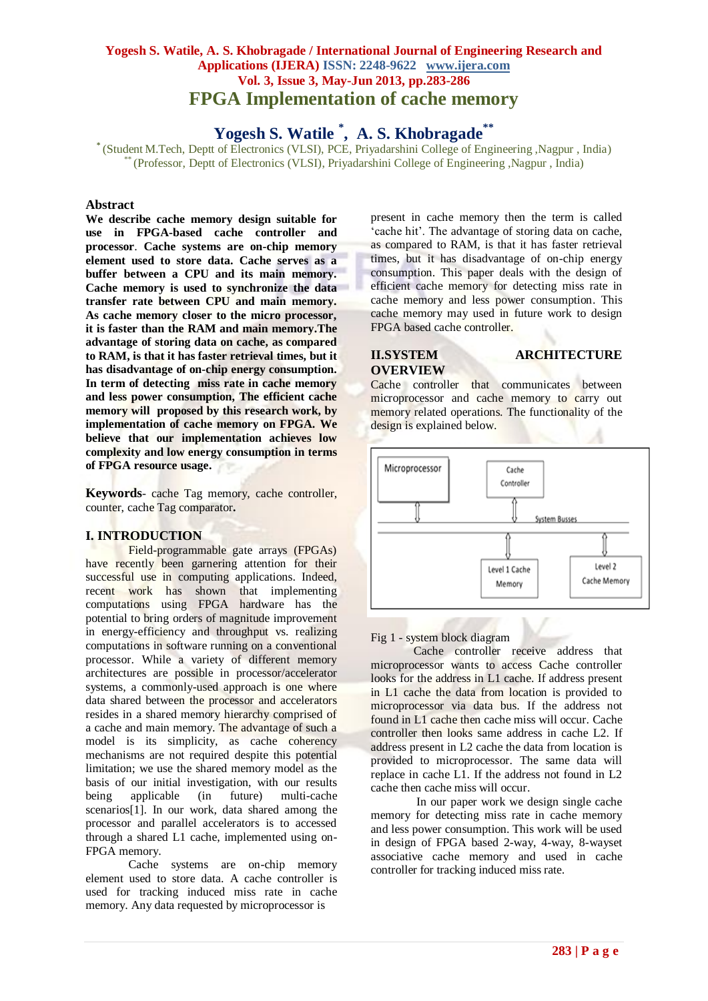## **Yogesh S. Watile, A. S. Khobragade / International Journal of Engineering Research and Applications (IJERA) ISSN: 2248-9622 www.ijera.com Vol. 3, Issue 3, May-Jun 2013, pp.283-286 FPGA Implementation of cache memory**

**Yogesh S. Watile \* , A. S. Khobragade\*\***

**\*** (Student M.Tech, Deptt of Electronics (VLSI), PCE, Priyadarshini College of Engineering ,Nagpur , India) \* (Professor, Deptt of Electronics (VLSI), Priyadarshini College of Engineering ,Nagpur , India)

## **Abstract**

**We describe cache memory design suitable for use in FPGA-based cache controller and processor**. **Cache systems are on-chip memory element used to store data. Cache serves as a buffer between a CPU and its main memory. Cache memory is used to synchronize the data transfer rate between CPU and main memory. As cache memory closer to the micro processor, it is faster than the RAM and main memory.The advantage of storing data on cache, as compared to RAM, is that it has faster retrieval times, but it has disadvantage of on-chip energy consumption. In term of detecting miss rate in cache memory and less power consumption, The efficient cache memory will proposed by this research work, by implementation of cache memory on FPGA. We believe that our implementation achieves low complexity and low energy consumption in terms of FPGA resource usage.**

**Keywords***-* cache Tag memory, cache controller, counter, cache Tag comparator**.**

#### **I. INTRODUCTION**

Field-programmable gate arrays (FPGAs) have recently been garnering attention for their successful use in computing applications. Indeed, recent work has shown that implementing computations using FPGA hardware has the potential to bring orders of magnitude improvement in energy-efficiency and throughput vs. realizing computations in software running on a conventional processor. While a variety of different memory architectures are possible in processor/accelerator systems, a commonly-used approach is one where data shared between the processor and accelerators resides in a shared memory hierarchy comprised of a cache and main memory. The advantage of such a model is its simplicity, as cache coherency mechanisms are not required despite this potential limitation; we use the shared memory model as the basis of our initial investigation, with our results being applicable (in future) multi-cache scenarios[1]. In our work, data shared among the processor and parallel accelerators is to accessed through a shared L1 cache, implemented using on-FPGA memory.

Cache systems are on-chip memory element used to store data. A cache controller is used for tracking induced miss rate in cache memory. Any data requested by microprocessor is

present in cache memory then the term is called "cache hit". The advantage of storing data on cache, as compared to RAM, is that it has faster retrieval times, but it has disadvantage of on-chip energy consumption. This paper deals with the design of efficient cache memory for detecting miss rate in cache memory and less power consumption. This cache memory may used in future work to design FPGA based cache controller.

# **OVERVIEW**

#### **II.SYSTEM ARCHITECTURE**

Cache controller that communicates between microprocessor and cache memory to carry out memory related operations. The functionality of the design is explained below.



#### Fig 1 - system block diagram

Cache controller receive address that microprocessor wants to access Cache controller looks for the address in L1 cache. If address present in L1 cache the data from location is provided to microprocessor via data bus. If the address not found in L1 cache then cache miss will occur. Cache controller then looks same address in cache L2. If address present in L2 cache the data from location is provided to microprocessor. The same data will replace in cache L1. If the address not found in L2 cache then cache miss will occur.

In our paper work we design single cache memory for detecting miss rate in cache memory and less power consumption. This work will be used in design of FPGA based 2-way, 4-way, 8-wayset associative cache memory and used in cache controller for tracking induced miss rate.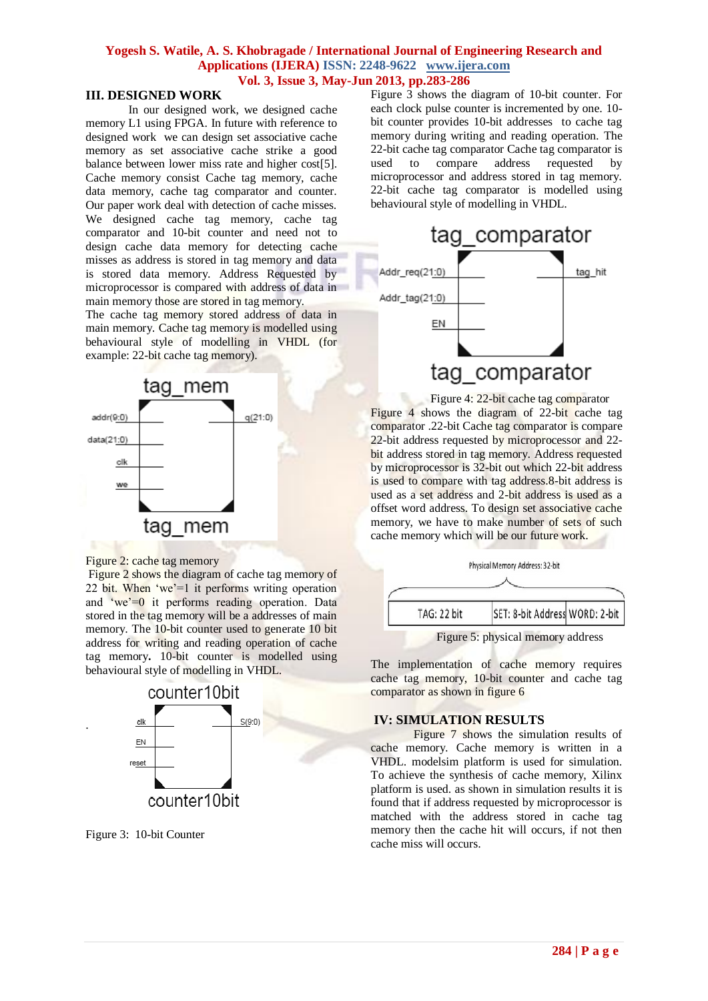## **Yogesh S. Watile, A. S. Khobragade / International Journal of Engineering Research and Applications (IJERA) ISSN: 2248-9622 www.ijera.com Vol. 3, Issue 3, May-Jun 2013, pp.283-286**

## **III. DESIGNED WORK**

In our designed work, we designed cache memory L1 using FPGA. In future with reference to designed work we can design set associative cache memory as set associative cache strike a good balance between lower miss rate and higher cost[5]. Cache memory consist Cache tag memory, cache data memory, cache tag comparator and counter. Our paper work deal with detection of cache misses. We designed cache tag memory, cache tag comparator and 10-bit counter and need not to design cache data memory for detecting cache misses as address is stored in tag memory and data is stored data memory. Address Requested by microprocessor is compared with address of data in main memory those are stored in tag memory.

The cache tag memory stored address of data in main memory. Cache tag memory is modelled using behavioural style of modelling in VHDL (for example: 22-bit cache tag memory).



Figure 2: cache tag memory

Figure 2 shows the diagram of cache tag memory of 22 bit. When 'we'=1 it performs writing operation and 'we'=0 it performs reading operation. Data stored in the tag memory will be a addresses of main memory. The 10-bit counter used to generate 10 bit address for writing and reading operation of cache tag memory**.** 10-bit counter is modelled using behavioural style of modelling in VHDL.



Figure 3: 10-bit Counter

.

Figure 3 shows the diagram of 10-bit counter. For each clock pulse counter is incremented by one. 10 bit counter provides 10-bit addresses to cache tag memory during writing and reading operation. The 22-bit cache tag comparator Cache tag comparator is used to compare address requested by microprocessor and address stored in tag memory. 22-bit cache tag comparator is modelled using behavioural style of modelling in VHDL.



Figure 4: 22-bit cache tag comparator Figure 4 shows the diagram of 22-bit cache tag comparator .22-bit Cache tag comparator is compare 22-bit address requested by microprocessor and 22 bit address stored in tag memory. Address requested by microprocessor is 32-bit out which 22-bit address is used to compare with tag address.8-bit address is used as a set address and 2-bit address is used as a offset word address. To design set associative cache memory, we have to make number of sets of such cache memory which will be our future work.



The implementation of cache memory requires cache tag memory, 10-bit counter and cache tag comparator as shown in figure 6

#### **IV: SIMULATION RESULTS**

Figure 7 shows the simulation results of cache memory. Cache memory is written in a VHDL. modelsim platform is used for simulation. To achieve the synthesis of cache memory, Xilinx platform is used. as shown in simulation results it is found that if address requested by microprocessor is matched with the address stored in cache tag memory then the cache hit will occurs, if not then cache miss will occurs.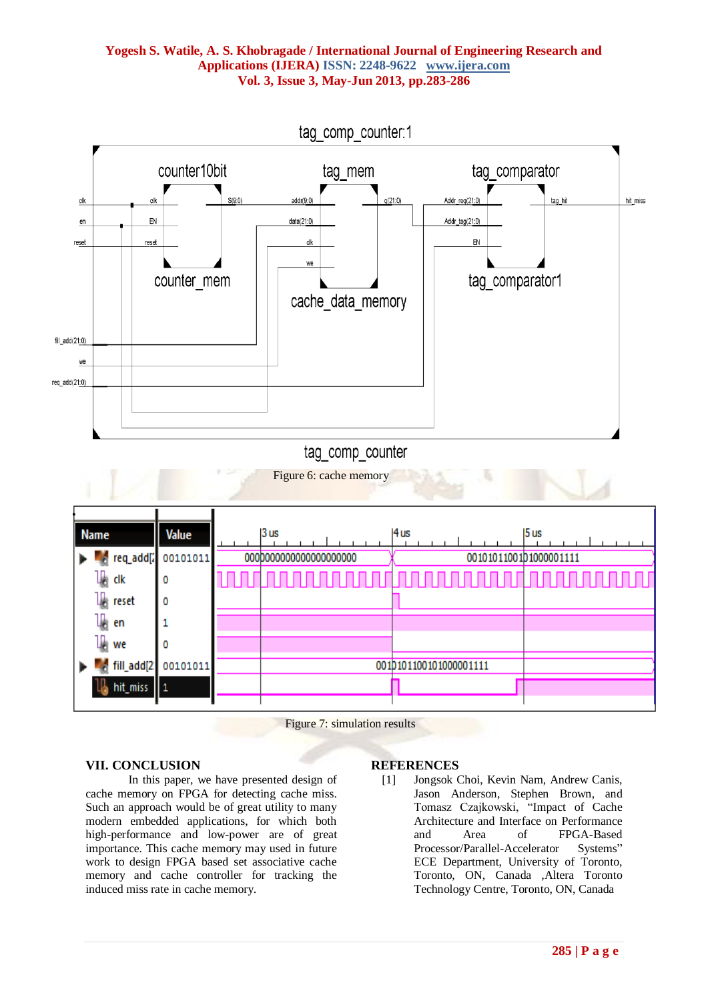## **Yogesh S. Watile, A. S. Khobragade / International Journal of Engineering Research and Applications (IJERA) ISSN: 2248-9622 www.ijera.com Vol. 3, Issue 3, May-Jun 2013, pp.283-286**



Figure 7: simulation results

#### **VII. CONCLUSION**

In this paper, we have presented design of cache memory on FPGA for detecting cache miss. Such an approach would be of great utility to many modern embedded applications, for which both high-performance and low-power are of great importance. This cache memory may used in future work to design FPGA based set associative cache memory and cache controller for tracking the induced miss rate in cache memory.

#### **REFERENCES**

[1] Jongsok Choi, Kevin Nam, Andrew Canis, Jason Anderson, Stephen Brown, and Tomasz Czajkowski, "Impact of Cache Architecture and Interface on Performance and Area of FPGA-Based Processor/Parallel-Accelerator Systems" ECE Department, University of Toronto, Toronto, ON, Canada ,Altera Toronto Technology Centre, Toronto, ON, Canada